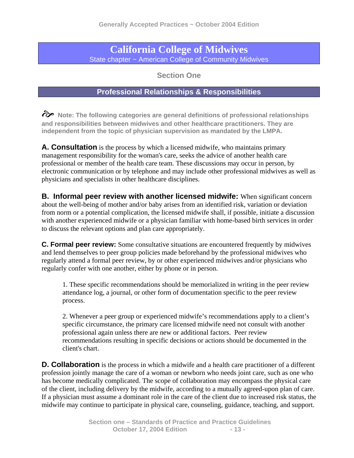## **California College of Midwives**  State chapter ~ American College of Community Midwives

**Section One** 

## **Professional Relationships & Responsibilities**

 $\hat{\mathcal{C}}$  Note: The following categories are general definitions of professional relationships **and responsibilities between midwives and other healthcare practitioners. They are independent from the topic of physician supervision as mandated by the LMPA.** 

**A. Consultation** is the process by which a licensed midwife, who maintains primary management responsibility for the woman's care, seeks the advice of another health care professional or member of the health care team. These discussions may occur in person, by electronic communication or by telephone and may include other professional midwives as well as physicians and specialists in other healthcare disciplines.

**B. Informal peer review with another licensed midwife:** When significant concern about the well-being of mother and/or baby arises from an identified risk, variation or deviation from norm or a potential complication, the licensed midwife shall, if possible, initiate a discussion with another experienced midwife or a physician familiar with home-based birth services in order to discuss the relevant options and plan care appropriately.

**C. Formal peer review:** Some consultative situations are encountered frequently by midwives and lend themselves to peer group policies made beforehand by the professional midwives who regularly attend a formal peer review, by or other experienced midwives and/or physicians who regularly confer with one another, either by phone or in person.

1. These specific recommendations should be memorialized in writing in the peer review attendance log, a journal, or other form of documentation specific to the peer review process.

2. Whenever a peer group or experienced midwife's recommendations apply to a client's specific circumstance, the primary care licensed midwife need not consult with another professional again unless there are new or additional factors. Peer review recommendations resulting in specific decisions or actions should be documented in the client's chart.

**D. Collaboration** is the process in which a midwife and a health care practitioner of a different profession jointly manage the care of a woman or newborn who needs joint care, such as one who has become medically complicated. The scope of collaboration may encompass the physical care of the client, including delivery by the midwife, according to a mutually agreed-upon plan of care. If a physician must assume a dominant role in the care of the client due to increased risk status, the midwife may continue to participate in physical care, counseling, guidance, teaching, and support.